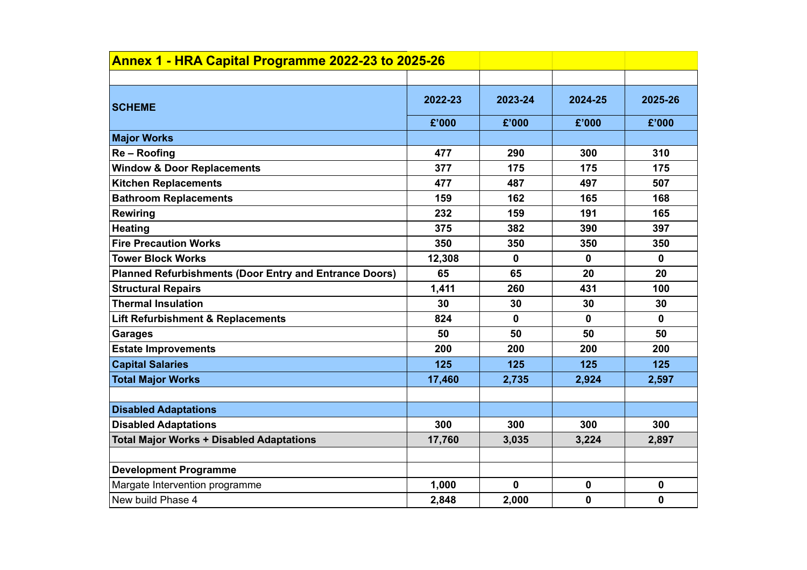| Annex 1 - HRA Capital Programme 2022-23 to 2025-26            |         |              |             |             |  |
|---------------------------------------------------------------|---------|--------------|-------------|-------------|--|
|                                                               |         |              |             |             |  |
| <b>SCHEME</b>                                                 | 2022-23 | 2023-24      | 2024-25     | 2025-26     |  |
|                                                               | £'000   | £'000        | £'000       | £'000       |  |
| <b>Major Works</b>                                            |         |              |             |             |  |
| Re-Roofing                                                    | 477     | 290          | 300         | 310         |  |
| <b>Window &amp; Door Replacements</b>                         | 377     | 175          | 175         | 175         |  |
| <b>Kitchen Replacements</b>                                   | 477     | 487          | 497         | 507         |  |
| <b>Bathroom Replacements</b>                                  | 159     | 162          | 165         | 168         |  |
| <b>Rewiring</b>                                               | 232     | 159          | 191         | 165         |  |
| <b>Heating</b>                                                | 375     | 382          | 390         | 397         |  |
| <b>Fire Precaution Works</b>                                  | 350     | 350          | 350         | 350         |  |
| <b>Tower Block Works</b>                                      | 12,308  | $\mathbf 0$  | $\mathbf 0$ | $\mathbf 0$ |  |
| <b>Planned Refurbishments (Door Entry and Entrance Doors)</b> | 65      | 65           | 20          | 20          |  |
| <b>Structural Repairs</b>                                     | 1,411   | 260          | 431         | 100         |  |
| <b>Thermal Insulation</b>                                     | 30      | 30           | 30          | 30          |  |
| <b>Lift Refurbishment &amp; Replacements</b>                  | 824     | $\mathbf{0}$ | 0           | $\mathbf 0$ |  |
| <b>Garages</b>                                                | 50      | 50           | 50          | 50          |  |
| <b>Estate Improvements</b>                                    | 200     | 200          | 200         | 200         |  |
| <b>Capital Salaries</b>                                       | 125     | 125          | 125         | 125         |  |
| <b>Total Major Works</b>                                      | 17,460  | 2,735        | 2,924       | 2,597       |  |
|                                                               |         |              |             |             |  |
| <b>Disabled Adaptations</b>                                   |         |              |             |             |  |
| <b>Disabled Adaptations</b>                                   | 300     | 300          | 300         | 300         |  |
| <b>Total Major Works + Disabled Adaptations</b>               | 17,760  | 3,035        | 3,224       | 2,897       |  |
|                                                               |         |              |             |             |  |
| <b>Development Programme</b>                                  |         |              |             |             |  |
| Margate Intervention programme                                | 1,000   | 0            | 0           | $\mathbf 0$ |  |
| New build Phase 4                                             | 2,848   | 2,000        | 0           | $\mathbf 0$ |  |